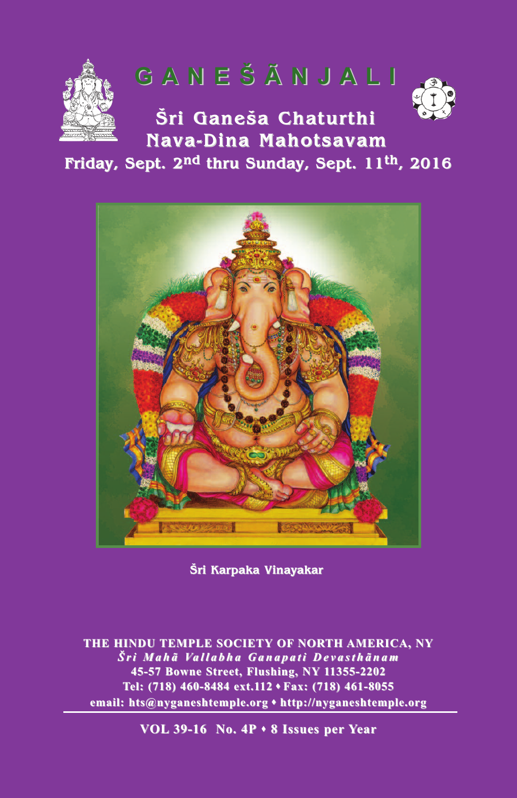

# **G A N E Š Ã N J A L I G A N E Š Ã N J A L I**

**Šri Ganeša Chaturthi Šri Ganeša Chaturthi Nava-Dina Mahotsavam**

## **Friday, Sept. 2<sup>nd</sup> thru Sunday, Sept. 11<sup>th</sup>, 2016**



**Šri Karpaka Vinayakar Vinayakar**

**THE HINDU TEMPLE SOCIETY OF NORTH AMERICA, NY**  $\check{S}$ ri Mahã Vallabha Ganapati Devasthãnam **45-57 Bowne Street, Flushing, NY 11355-2202 45-57 Bowne Street, 11355-2202** Tel: (718) 460-8484 ext.112 **Fax:** (718) 461-8055 **email: hts@nyganeshtemple.org** s **http://nyganeshtemple.org**

**VOL 39-16 No. 4P · 8 Issues per Year**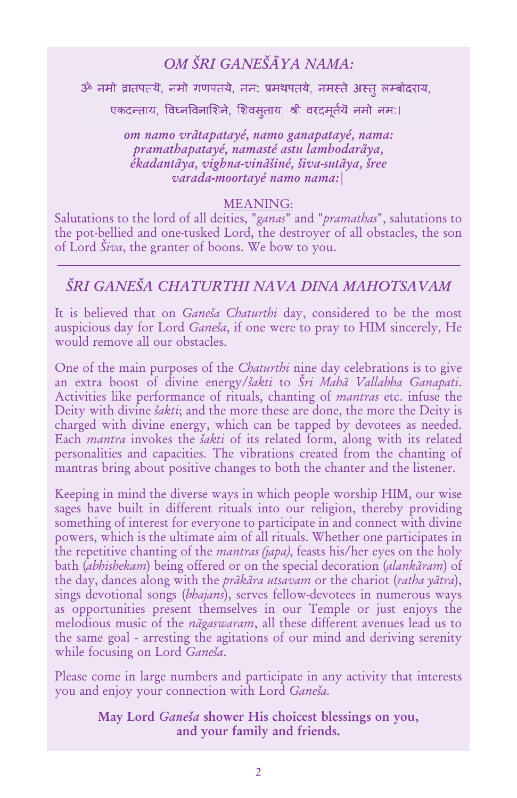### *OM ŠRI GANEŠÃYA NAMA:*

ॐ नमो व्रातपतयॆ, नमो गणपतयॆ, नम: प्रमथपतयॆ, नमस्ते अस्त् लम्बोदराय,

एकदन्ताय, विघ्नविनाशिने, शिवसताय, श्री वरदमूर्तयॆ नमो नम:।

*om namo vrãtapatayé, namo ganapatayé, nama: pramathapatayé, namasté astu lambodarãya, ékadantãya, vighna-vinãšiné, šiva-sutãya, šree varada-moortayé namo nama:|*

#### MEANING:

Salutations to the lord of all deities, "*ganas*" and "*pramathas*", salutations to the pot-bellied and one-tusked Lord, the destroyer of all obstacles, the son of Lord *Šiva*, the granter of boons. We bow to you.

#### *ŠRI GANEŠA CHATURTHI NAVA DINA MAHOTSAVAM*

It is believed that on *Ganeša Chaturthi* day, considered to be the most auspicious day for Lord *Ganeša*, if one were to pray to HIM sincerely, He would remove all our obstacles.

One of the main purposes of the *Chaturthi* nine day celebrations is to give an extra boost of divine energy/*šakti* to *Šri Mahã Vallabha Ganapati*. Activities like performance of rituals, chanting of *mantras* etc. infuse the Deity with divine *šakti*; and the more these are done, the more the Deity is charged with divine energy, which can be tapped by devotees as needed. Each *mantra* invokes the *šakti* of its related form, along with its related personalities and capacities. The vibrations created from the chanting of mantras bring about positive changes to both the chanter and the listener.

Keeping in mind the diverse ways in which people worship HIM, our wise sages have built in different rituals into our religion, thereby providing something of interest for everyone to participate in and connect with divine powers, which is the ultimate aim of all rituals. Whether one participates in the repetitive chanting of the *mantras (japa)*, feasts his/her eyes on the holy bath (*abhishekam*) being offered or on the special decoration (*alankãram*) of the day, dances along with the *prãkãra utsavam* or the chariot (*ratha yãtra*), sings devotional songs (*bhajans*), serves fellow-devotees in numerous ways as opportunities present themselves in our Temple or just enjoys the melodious music of the *nãgaswaram*, all these different avenues lead us to the same goal - arresting the agitations of our mind and deriving serenity while focusing on Lord *Ganeša*.

Please come in large numbers and participate in any activity that interests you and enjoy your connection with Lord *Ganeša.*

> May Lord *Ganeša* shower His choicest blessings on you, and your family and friends.